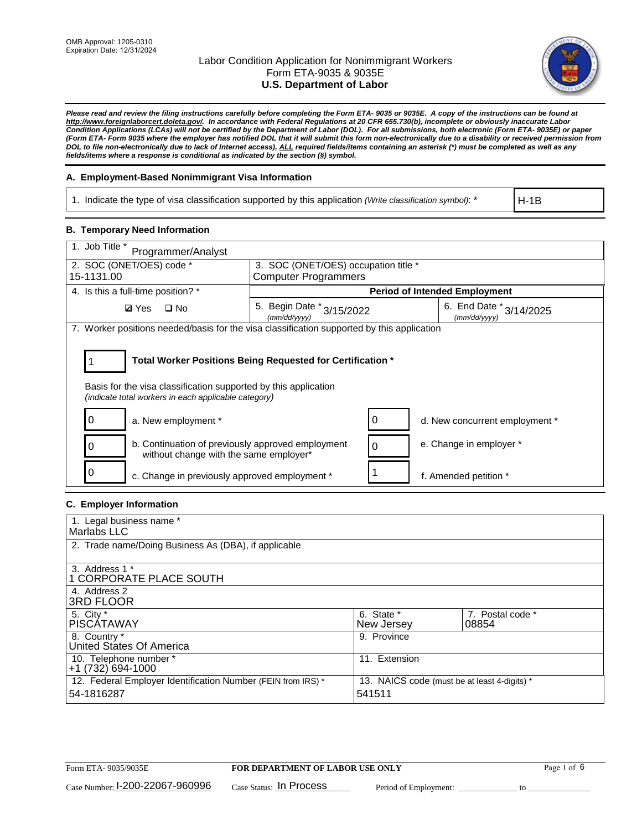

*Please read and review the filing instructions carefully before completing the Form ETA- 9035 or 9035E. A copy of the instructions can be found at http://www.foreignlaborcert.doleta.gov/. In accordance with Federal Regulations at 20 CFR 655.730(b), incomplete or obviously inaccurate Labor Condition Applications (LCAs) will not be certified by the Department of Labor (DOL). For all submissions, both electronic (Form ETA- 9035E) or paper (Form ETA- Form 9035 where the employer has notified DOL that it will submit this form non-electronically due to a disability or received permission from DOL to file non-electronically due to lack of Internet access), ALL required fields/items containing an asterisk (\*) must be completed as well as any fields/items where a response is conditional as indicated by the section (§) symbol.* 

### **A. Employment-Based Nonimmigrant Visa Information**

1. Indicate the type of visa classification supported by this application *(Write classification symbol)*: \*

H-1B

#### **B. Temporary Need Information**

| 1. Job Title *<br>Programmer/Analyst                                                                                                                                                  |                                               |   |                                             |  |  |  |
|---------------------------------------------------------------------------------------------------------------------------------------------------------------------------------------|-----------------------------------------------|---|---------------------------------------------|--|--|--|
| 2. SOC (ONET/OES) code *                                                                                                                                                              | 3. SOC (ONET/OES) occupation title *          |   |                                             |  |  |  |
| 15-1131.00                                                                                                                                                                            | <b>Computer Programmers</b>                   |   |                                             |  |  |  |
| 4. Is this a full-time position? *                                                                                                                                                    |                                               |   | <b>Period of Intended Employment</b>        |  |  |  |
| $\square$ No<br><b>Ø</b> Yes                                                                                                                                                          | 5. Begin Date $*_{3/15/2022}$<br>(mm/dd/yyyy) |   | 6. End Date $*_{3/14/2025}$<br>(mm/dd/yyyy) |  |  |  |
| 7. Worker positions needed/basis for the visa classification supported by this application                                                                                            |                                               |   |                                             |  |  |  |
| Total Worker Positions Being Requested for Certification *<br>Basis for the visa classification supported by this application<br>(indicate total workers in each applicable category) |                                               |   |                                             |  |  |  |
| a. New employment *                                                                                                                                                                   |                                               |   | d. New concurrent employment *              |  |  |  |
| b. Continuation of previously approved employment<br>without change with the same employer*                                                                                           |                                               | 0 | e. Change in employer *                     |  |  |  |
| 0<br>c. Change in previously approved employment *                                                                                                                                    |                                               |   | f. Amended petition *                       |  |  |  |

### **C. Employer Information**

| 1. Legal business name *                                                   |                                                        |                           |
|----------------------------------------------------------------------------|--------------------------------------------------------|---------------------------|
| Marlabs LLC                                                                |                                                        |                           |
| 2. Trade name/Doing Business As (DBA), if applicable                       |                                                        |                           |
| 3. Address 1 *<br>1 CORPORATE PLACE SOUTH<br>4. Address 2                  |                                                        |                           |
| <b>3RD FLOOR</b>                                                           |                                                        |                           |
| 5. City *<br><b>PISCÁTAWAY</b>                                             | 6. State *<br>New Jersey                               | 7. Postal code *<br>08854 |
| 8. Country *<br>United States Of America                                   | 9. Province                                            |                           |
| 10. Telephone number *<br>$+1(732)694-1000$                                | 11. Extension                                          |                           |
| 12. Federal Employer Identification Number (FEIN from IRS) *<br>54-1816287 | 13. NAICS code (must be at least 4-digits) *<br>541511 |                           |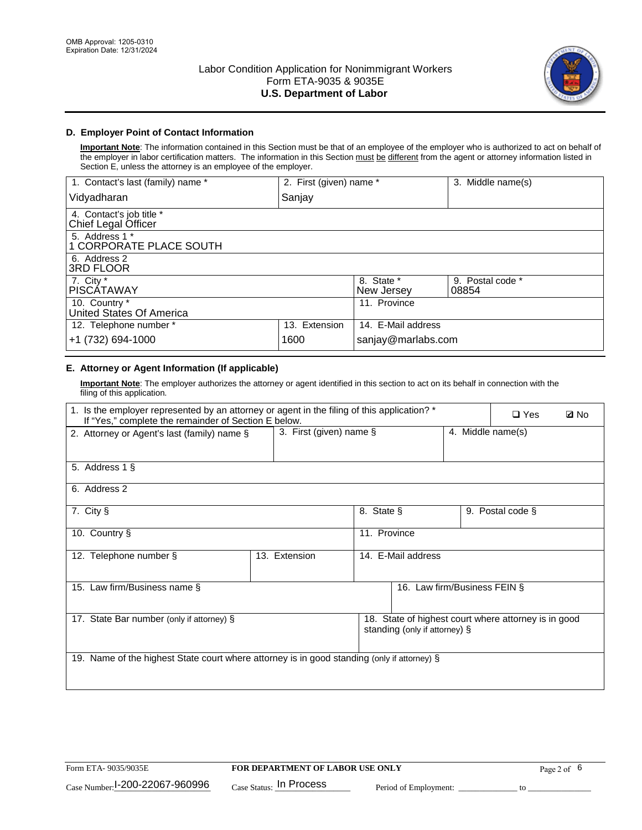

### **D. Employer Point of Contact Information**

**Important Note**: The information contained in this Section must be that of an employee of the employer who is authorized to act on behalf of the employer in labor certification matters. The information in this Section must be different from the agent or attorney information listed in Section E, unless the attorney is an employee of the employer.

| 1. Contact's last (family) name *               | 2. First (given) name * |                          | 3. Middle name(s)         |
|-------------------------------------------------|-------------------------|--------------------------|---------------------------|
| Vidyadharan                                     | Sanjay                  |                          |                           |
| 4. Contact's job title *<br>Chief Legal Officer |                         |                          |                           |
| 5. Address 1 *<br>1 CORPORATE PLACE SOUTH       |                         |                          |                           |
| 6. Address 2<br><b>3RD FLOOR</b>                |                         |                          |                           |
| 7. City *<br><b>PISCÁTAWAY</b>                  |                         | 8. State *<br>New Jersey | 9. Postal code *<br>08854 |
| 10. Country *<br>United States Of America       |                         | 11. Province             |                           |
| 12. Telephone number *                          | 13. Extension           | 14. E-Mail address       |                           |
| +1 (732) 694-1000                               | 1600                    | sanjay@marlabs.com       |                           |

# **E. Attorney or Agent Information (If applicable)**

**Important Note**: The employer authorizes the attorney or agent identified in this section to act on its behalf in connection with the filing of this application.

| 1. Is the employer represented by an attorney or agent in the filing of this application? *<br>If "Yes," complete the remainder of Section E below. |                         | $\square$ Yes | <b>ØNo</b>                    |                   |                                                      |  |
|-----------------------------------------------------------------------------------------------------------------------------------------------------|-------------------------|---------------|-------------------------------|-------------------|------------------------------------------------------|--|
| 2. Attorney or Agent's last (family) name §                                                                                                         | 3. First (given) name § |               |                               | 4. Middle name(s) |                                                      |  |
| 5. Address 1 §                                                                                                                                      |                         |               |                               |                   |                                                      |  |
| 6. Address 2                                                                                                                                        |                         |               |                               |                   |                                                      |  |
| 7. City §                                                                                                                                           |                         | 8. State §    |                               |                   | 9. Postal code §                                     |  |
| 10. Country §                                                                                                                                       |                         | 11. Province  |                               |                   |                                                      |  |
| 12. Telephone number §                                                                                                                              | 13. Extension           |               | 14. E-Mail address            |                   |                                                      |  |
| 15. Law firm/Business name §                                                                                                                        |                         |               | 16. Law firm/Business FEIN §  |                   |                                                      |  |
| 17. State Bar number (only if attorney) §                                                                                                           |                         |               | standing (only if attorney) § |                   | 18. State of highest court where attorney is in good |  |
| 19. Name of the highest State court where attorney is in good standing (only if attorney) §                                                         |                         |               |                               |                   |                                                      |  |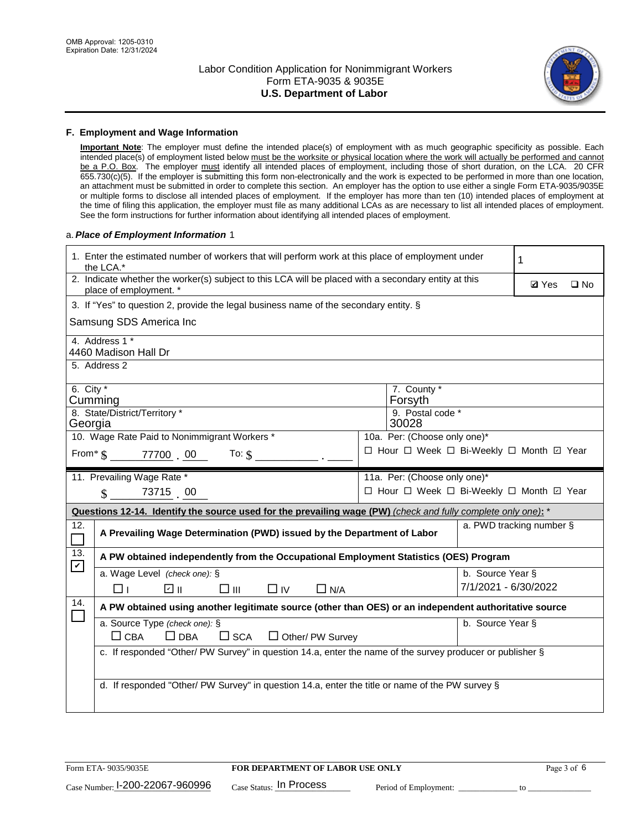

#### **F. Employment and Wage Information**

**Important Note**: The employer must define the intended place(s) of employment with as much geographic specificity as possible. Each intended place(s) of employment listed below must be the worksite or physical location where the work will actually be performed and cannot be a P.O. Box. The employer must identify all intended places of employment, including those of short duration, on the LCA. 20 CFR 655.730(c)(5). If the employer is submitting this form non-electronically and the work is expected to be performed in more than one location, an attachment must be submitted in order to complete this section. An employer has the option to use either a single Form ETA-9035/9035E or multiple forms to disclose all intended places of employment. If the employer has more than ten (10) intended places of employment at the time of filing this application, the employer must file as many additional LCAs as are necessary to list all intended places of employment. See the form instructions for further information about identifying all intended places of employment.

#### a.*Place of Employment Information* 1

|                                                                              | 1. Enter the estimated number of workers that will perform work at this place of employment under<br>the LCA.*                 |  | 1                                        |                      |                          |              |  |
|------------------------------------------------------------------------------|--------------------------------------------------------------------------------------------------------------------------------|--|------------------------------------------|----------------------|--------------------------|--------------|--|
|                                                                              | 2. Indicate whether the worker(s) subject to this LCA will be placed with a secondary entity at this<br>place of employment. * |  |                                          |                      | <b>Ø</b> Yes             | $\square$ No |  |
|                                                                              | 3. If "Yes" to question 2, provide the legal business name of the secondary entity. §                                          |  |                                          |                      |                          |              |  |
|                                                                              | Samsung SDS America Inc                                                                                                        |  |                                          |                      |                          |              |  |
|                                                                              | 4. Address 1 *<br>4460 Madison Hall Dr                                                                                         |  |                                          |                      |                          |              |  |
|                                                                              | 5. Address 2                                                                                                                   |  |                                          |                      |                          |              |  |
|                                                                              | 6. City $*$<br>7. County *<br>Cumming<br>Forsyth                                                                               |  |                                          |                      |                          |              |  |
|                                                                              | 8. State/District/Territory *<br>9. Postal code *<br>30028<br>Georgia                                                          |  |                                          |                      |                          |              |  |
| 10. Wage Rate Paid to Nonimmigrant Workers *<br>10a. Per: (Choose only one)* |                                                                                                                                |  |                                          |                      |                          |              |  |
|                                                                              | □ Hour □ Week □ Bi-Weekly □ Month □ Year<br>From $\frac{1}{2}$ 77700 . 00 To: \$                                               |  |                                          |                      |                          |              |  |
|                                                                              | 11. Prevailing Wage Rate *                                                                                                     |  | 11a. Per: (Choose only one)*             |                      |                          |              |  |
|                                                                              | $\sin 7371500$                                                                                                                 |  | □ Hour □ Week □ Bi-Weekly □ Month ☑ Year |                      |                          |              |  |
|                                                                              | Questions 12-14. Identify the source used for the prevailing wage (PW) (check and fully complete only one): *                  |  |                                          |                      |                          |              |  |
| 12.                                                                          | A Prevailing Wage Determination (PWD) issued by the Department of Labor                                                        |  |                                          |                      | a. PWD tracking number § |              |  |
| 13.                                                                          | A PW obtained independently from the Occupational Employment Statistics (OES) Program                                          |  |                                          |                      |                          |              |  |
| $\blacktriangledown$                                                         | a. Wage Level (check one): §                                                                                                   |  |                                          | b. Source Year §     |                          |              |  |
|                                                                              | ☑ ⊪<br>$\square$ $\square$<br>$\Box$ IV<br>$\Box$ N/A<br>□⊥                                                                    |  |                                          | 7/1/2021 - 6/30/2022 |                          |              |  |
| 14.                                                                          | A PW obtained using another legitimate source (other than OES) or an independent authoritative source                          |  |                                          |                      |                          |              |  |
|                                                                              | a. Source Type (check one): §<br>b. Source Year §<br>$\Box$ CBA<br>$\Box$ DBA<br>$\square$ SCA<br>$\Box$ Other/ PW Survey      |  |                                          |                      |                          |              |  |
|                                                                              | c. If responded "Other/ PW Survey" in question 14.a, enter the name of the survey producer or publisher §                      |  |                                          |                      |                          |              |  |
|                                                                              | d. If responded "Other/ PW Survey" in question 14.a, enter the title or name of the PW survey §                                |  |                                          |                      |                          |              |  |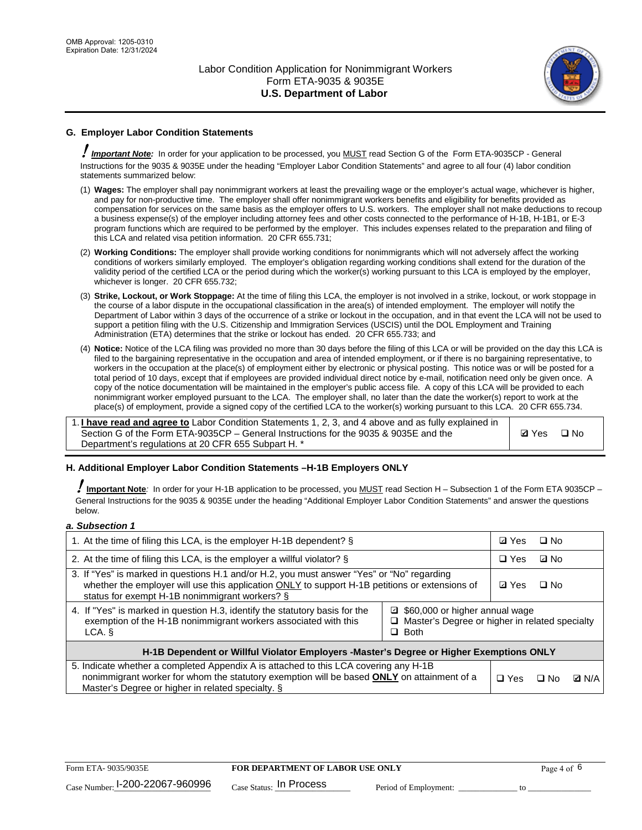

# **G. Employer Labor Condition Statements**

! *Important Note:* In order for your application to be processed, you MUST read Section G of the Form ETA-9035CP - General Instructions for the 9035 & 9035E under the heading "Employer Labor Condition Statements" and agree to all four (4) labor condition statements summarized below:

- (1) **Wages:** The employer shall pay nonimmigrant workers at least the prevailing wage or the employer's actual wage, whichever is higher, and pay for non-productive time. The employer shall offer nonimmigrant workers benefits and eligibility for benefits provided as compensation for services on the same basis as the employer offers to U.S. workers. The employer shall not make deductions to recoup a business expense(s) of the employer including attorney fees and other costs connected to the performance of H-1B, H-1B1, or E-3 program functions which are required to be performed by the employer. This includes expenses related to the preparation and filing of this LCA and related visa petition information. 20 CFR 655.731;
- (2) **Working Conditions:** The employer shall provide working conditions for nonimmigrants which will not adversely affect the working conditions of workers similarly employed. The employer's obligation regarding working conditions shall extend for the duration of the validity period of the certified LCA or the period during which the worker(s) working pursuant to this LCA is employed by the employer, whichever is longer. 20 CFR 655.732;
- (3) **Strike, Lockout, or Work Stoppage:** At the time of filing this LCA, the employer is not involved in a strike, lockout, or work stoppage in the course of a labor dispute in the occupational classification in the area(s) of intended employment. The employer will notify the Department of Labor within 3 days of the occurrence of a strike or lockout in the occupation, and in that event the LCA will not be used to support a petition filing with the U.S. Citizenship and Immigration Services (USCIS) until the DOL Employment and Training Administration (ETA) determines that the strike or lockout has ended. 20 CFR 655.733; and
- (4) **Notice:** Notice of the LCA filing was provided no more than 30 days before the filing of this LCA or will be provided on the day this LCA is filed to the bargaining representative in the occupation and area of intended employment, or if there is no bargaining representative, to workers in the occupation at the place(s) of employment either by electronic or physical posting. This notice was or will be posted for a total period of 10 days, except that if employees are provided individual direct notice by e-mail, notification need only be given once. A copy of the notice documentation will be maintained in the employer's public access file. A copy of this LCA will be provided to each nonimmigrant worker employed pursuant to the LCA. The employer shall, no later than the date the worker(s) report to work at the place(s) of employment, provide a signed copy of the certified LCA to the worker(s) working pursuant to this LCA. 20 CFR 655.734.

1. **I have read and agree to** Labor Condition Statements 1, 2, 3, and 4 above and as fully explained in Section G of the Form ETA-9035CP – General Instructions for the 9035 & 9035E and the Department's regulations at 20 CFR 655 Subpart H. \*

**Ø**Yes ロNo

### **H. Additional Employer Labor Condition Statements –H-1B Employers ONLY**

!**Important Note***:* In order for your H-1B application to be processed, you MUST read Section H – Subsection 1 of the Form ETA 9035CP – General Instructions for the 9035 & 9035E under the heading "Additional Employer Labor Condition Statements" and answer the questions below.

#### *a. Subsection 1*

| 1. At the time of filing this LCA, is the employer H-1B dependent? §                                                                                                                                                                                            | ⊡ Yes | □ No |           |              |
|-----------------------------------------------------------------------------------------------------------------------------------------------------------------------------------------------------------------------------------------------------------------|-------|------|-----------|--------------|
| 2. At the time of filing this LCA, is the employer a willful violator? $\S$                                                                                                                                                                                     |       |      | ⊡ No      |              |
| 3. If "Yes" is marked in questions H.1 and/or H.2, you must answer "Yes" or "No" regarding<br>whether the employer will use this application ONLY to support H-1B petitions or extensions of<br>status for exempt H-1B nonimmigrant workers? §                  |       |      | $\Box$ No |              |
| 4. If "Yes" is marked in question H.3, identify the statutory basis for the<br>■ \$60,000 or higher annual wage<br>exemption of the H-1B nonimmigrant workers associated with this<br>□ Master's Degree or higher in related specialty<br>$\Box$ Both<br>LCA. § |       |      |           |              |
| H-1B Dependent or Willful Violator Employers -Master's Degree or Higher Exemptions ONLY                                                                                                                                                                         |       |      |           |              |
| 5. Indicate whether a completed Appendix A is attached to this LCA covering any H-1B<br>nonimmigrant worker for whom the statutory exemption will be based <b>ONLY</b> on attainment of a<br>Master's Degree or higher in related specialty. §                  |       |      | ⊡ No      | <b>Q</b> N/A |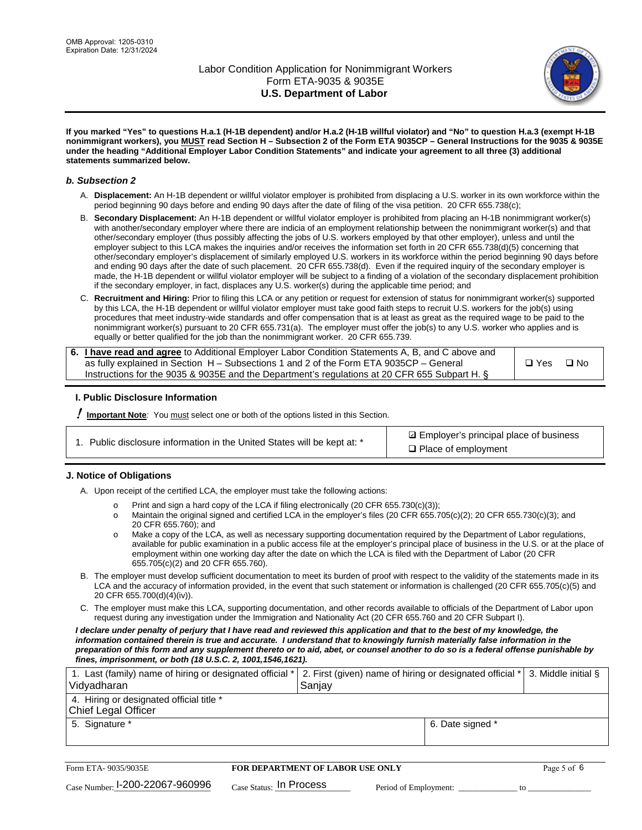

**If you marked "Yes" to questions H.a.1 (H-1B dependent) and/or H.a.2 (H-1B willful violator) and "No" to question H.a.3 (exempt H-1B nonimmigrant workers), you MUST read Section H – Subsection 2 of the Form ETA 9035CP – General Instructions for the 9035 & 9035E under the heading "Additional Employer Labor Condition Statements" and indicate your agreement to all three (3) additional statements summarized below.**

#### *b. Subsection 2*

- A. **Displacement:** An H-1B dependent or willful violator employer is prohibited from displacing a U.S. worker in its own workforce within the period beginning 90 days before and ending 90 days after the date of filing of the visa petition. 20 CFR 655.738(c);
- B. **Secondary Displacement:** An H-1B dependent or willful violator employer is prohibited from placing an H-1B nonimmigrant worker(s) with another/secondary employer where there are indicia of an employment relationship between the nonimmigrant worker(s) and that other/secondary employer (thus possibly affecting the jobs of U.S. workers employed by that other employer), unless and until the employer subject to this LCA makes the inquiries and/or receives the information set forth in 20 CFR 655.738(d)(5) concerning that other/secondary employer's displacement of similarly employed U.S. workers in its workforce within the period beginning 90 days before and ending 90 days after the date of such placement. 20 CFR 655.738(d). Even if the required inquiry of the secondary employer is made, the H-1B dependent or willful violator employer will be subject to a finding of a violation of the secondary displacement prohibition if the secondary employer, in fact, displaces any U.S. worker(s) during the applicable time period; and
- C. **Recruitment and Hiring:** Prior to filing this LCA or any petition or request for extension of status for nonimmigrant worker(s) supported by this LCA, the H-1B dependent or willful violator employer must take good faith steps to recruit U.S. workers for the job(s) using procedures that meet industry-wide standards and offer compensation that is at least as great as the required wage to be paid to the nonimmigrant worker(s) pursuant to 20 CFR 655.731(a). The employer must offer the job(s) to any U.S. worker who applies and is equally or better qualified for the job than the nonimmigrant worker. 20 CFR 655.739.

| 6. I have read and agree to Additional Employer Labor Condition Statements A, B, and C above and |       |           |
|--------------------------------------------------------------------------------------------------|-------|-----------|
| as fully explained in Section H – Subsections 1 and 2 of the Form ETA 9035CP – General           | □ Yes | $\Box$ No |
| Instructions for the 9035 & 9035E and the Department's regulations at 20 CFR 655 Subpart H. §    |       |           |

### **I. Public Disclosure Information**

! **Important Note***:* You must select one or both of the options listed in this Section.

|  | 1. Public disclosure information in the United States will be kept at: * |  |  |  |
|--|--------------------------------------------------------------------------|--|--|--|
|  |                                                                          |  |  |  |

**sqrt** Employer's principal place of business □ Place of employment

### **J. Notice of Obligations**

A. Upon receipt of the certified LCA, the employer must take the following actions:

- o Print and sign a hard copy of the LCA if filing electronically (20 CFR 655.730(c)(3));<br>
Maintain the original signed and certified LCA in the employer's files (20 CFR 655.7
- Maintain the original signed and certified LCA in the employer's files (20 CFR 655.705(c)(2); 20 CFR 655.730(c)(3); and 20 CFR 655.760); and
- o Make a copy of the LCA, as well as necessary supporting documentation required by the Department of Labor regulations, available for public examination in a public access file at the employer's principal place of business in the U.S. or at the place of employment within one working day after the date on which the LCA is filed with the Department of Labor (20 CFR 655.705(c)(2) and 20 CFR 655.760).
- B. The employer must develop sufficient documentation to meet its burden of proof with respect to the validity of the statements made in its LCA and the accuracy of information provided, in the event that such statement or information is challenged (20 CFR 655.705(c)(5) and 20 CFR 655.700(d)(4)(iv)).
- C. The employer must make this LCA, supporting documentation, and other records available to officials of the Department of Labor upon request during any investigation under the Immigration and Nationality Act (20 CFR 655.760 and 20 CFR Subpart I).

*I declare under penalty of perjury that I have read and reviewed this application and that to the best of my knowledge, the*  information contained therein is true and accurate. I understand that to knowingly furnish materially false information in the *preparation of this form and any supplement thereto or to aid, abet, or counsel another to do so is a federal offense punishable by fines, imprisonment, or both (18 U.S.C. 2, 1001,1546,1621).*

| 1. Last (family) name of hiring or designated official *<br>Vidyadharan | 2. First (given) name of hiring or designated official * 3. Middle initial §<br>Sanjay |                  |  |
|-------------------------------------------------------------------------|----------------------------------------------------------------------------------------|------------------|--|
| 4. Hiring or designated official title *<br>Chief Legal Officer         |                                                                                        |                  |  |
| 5. Signature *                                                          |                                                                                        | 6. Date signed * |  |

| Form ETA-9035/9035E                         | <b>FOR DEPARTMENT OF LABOR USE ONLY</b> |                       |  |
|---------------------------------------------|-----------------------------------------|-----------------------|--|
| $_{\text{Case Number:}}$ I-200-22067-960996 | $_{\text{Case Status:}}$ In Process     | Period of Employment: |  |